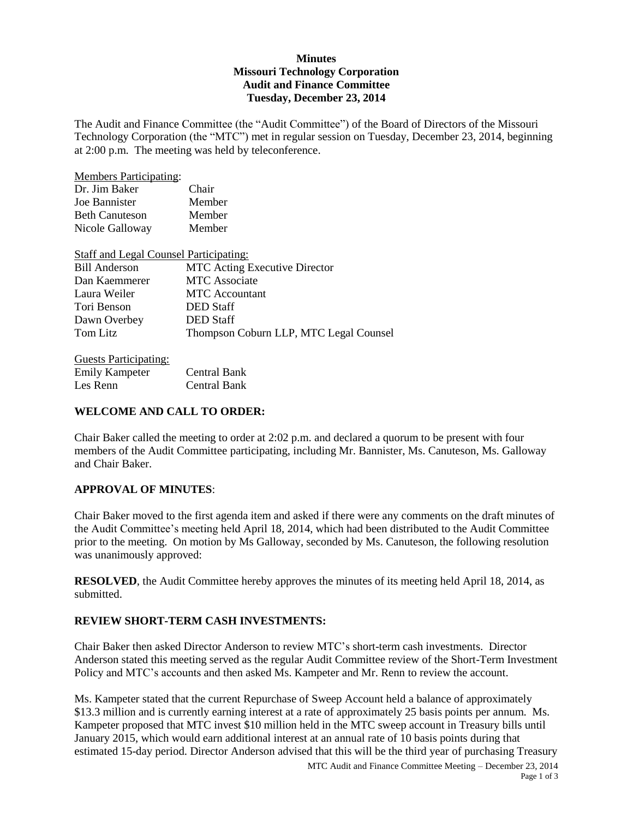### **Minutes Missouri Technology Corporation Audit and Finance Committee Tuesday, December 23, 2014**

The Audit and Finance Committee (the "Audit Committee") of the Board of Directors of the Missouri Technology Corporation (the "MTC") met in regular session on Tuesday, December 23, 2014, beginning at 2:00 p.m. The meeting was held by teleconference.

| <b>Members Participating:</b>                 |                                        |
|-----------------------------------------------|----------------------------------------|
| Dr. Jim Baker                                 | Chair                                  |
| Joe Bannister                                 | Member                                 |
| <b>Beth Canuteson</b>                         | Member                                 |
| Nicole Galloway                               | Member                                 |
| <b>Staff and Legal Counsel Participating:</b> |                                        |
| <b>Bill Anderson</b>                          | <b>MTC</b> Acting Executive Director   |
| Dan Kaemmerer                                 | <b>MTC</b> Associate                   |
| Laura Weiler                                  | <b>MTC</b> Accountant                  |
| Tori Benson                                   | <b>DED</b> Staff                       |
| Dawn Overbey                                  | <b>DED</b> Staff                       |
| Tom Litz                                      | Thompson Coburn LLP, MTC Legal Counsel |
|                                               |                                        |

| <b>Guests Participating:</b> |                     |
|------------------------------|---------------------|
| <b>Emily Kampeter</b>        | <b>Central Bank</b> |
| Les Renn                     | <b>Central Bank</b> |

### **WELCOME AND CALL TO ORDER:**

Chair Baker called the meeting to order at 2:02 p.m. and declared a quorum to be present with four members of the Audit Committee participating, including Mr. Bannister, Ms. Canuteson, Ms. Galloway and Chair Baker.

### **APPROVAL OF MINUTES**:

Chair Baker moved to the first agenda item and asked if there were any comments on the draft minutes of the Audit Committee's meeting held April 18, 2014, which had been distributed to the Audit Committee prior to the meeting. On motion by Ms Galloway, seconded by Ms. Canuteson, the following resolution was unanimously approved:

**RESOLVED**, the Audit Committee hereby approves the minutes of its meeting held April 18, 2014, as submitted.

### **REVIEW SHORT-TERM CASH INVESTMENTS:**

Chair Baker then asked Director Anderson to review MTC's short-term cash investments. Director Anderson stated this meeting served as the regular Audit Committee review of the Short-Term Investment Policy and MTC's accounts and then asked Ms. Kampeter and Mr. Renn to review the account.

Ms. Kampeter stated that the current Repurchase of Sweep Account held a balance of approximately \$13.3 million and is currently earning interest at a rate of approximately 25 basis points per annum. Ms. Kampeter proposed that MTC invest \$10 million held in the MTC sweep account in Treasury bills until January 2015, which would earn additional interest at an annual rate of 10 basis points during that estimated 15-day period. Director Anderson advised that this will be the third year of purchasing Treasury

MTC Audit and Finance Committee Meeting – December 23, 2014 Page 1 of 3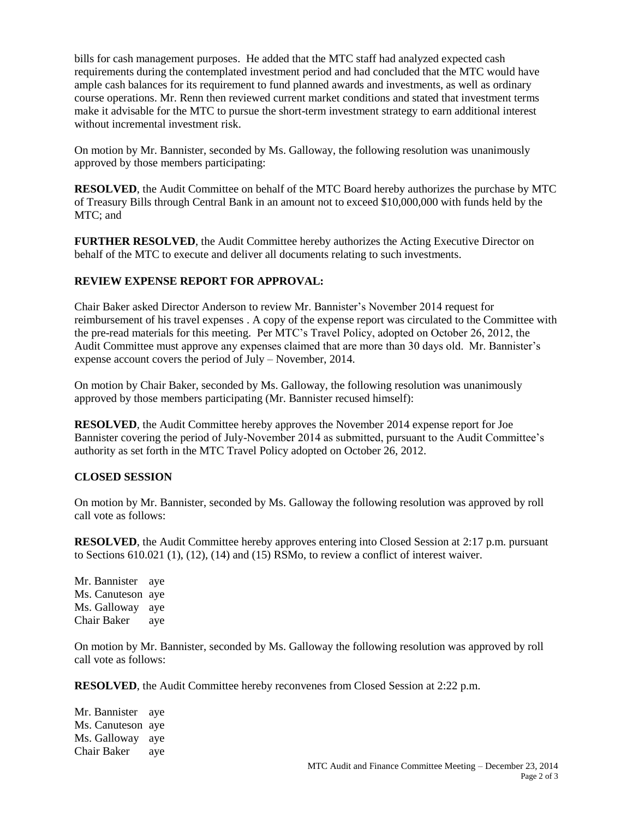bills for cash management purposes. He added that the MTC staff had analyzed expected cash requirements during the contemplated investment period and had concluded that the MTC would have ample cash balances for its requirement to fund planned awards and investments, as well as ordinary course operations. Mr. Renn then reviewed current market conditions and stated that investment terms make it advisable for the MTC to pursue the short-term investment strategy to earn additional interest without incremental investment risk.

On motion by Mr. Bannister, seconded by Ms. Galloway, the following resolution was unanimously approved by those members participating:

**RESOLVED**, the Audit Committee on behalf of the MTC Board hereby authorizes the purchase by MTC of Treasury Bills through Central Bank in an amount not to exceed \$10,000,000 with funds held by the MTC; and

**FURTHER RESOLVED**, the Audit Committee hereby authorizes the Acting Executive Director on behalf of the MTC to execute and deliver all documents relating to such investments.

# **REVIEW EXPENSE REPORT FOR APPROVAL:**

Chair Baker asked Director Anderson to review Mr. Bannister's November 2014 request for reimbursement of his travel expenses . A copy of the expense report was circulated to the Committee with the pre-read materials for this meeting. Per MTC's Travel Policy, adopted on October 26, 2012, the Audit Committee must approve any expenses claimed that are more than 30 days old. Mr. Bannister's expense account covers the period of July – November, 2014.

On motion by Chair Baker, seconded by Ms. Galloway, the following resolution was unanimously approved by those members participating (Mr. Bannister recused himself):

**RESOLVED**, the Audit Committee hereby approves the November 2014 expense report for Joe Bannister covering the period of July-November 2014 as submitted, pursuant to the Audit Committee's authority as set forth in the MTC Travel Policy adopted on October 26, 2012.

### **CLOSED SESSION**

On motion by Mr. Bannister, seconded by Ms. Galloway the following resolution was approved by roll call vote as follows:

**RESOLVED**, the Audit Committee hereby approves entering into Closed Session at 2:17 p.m. pursuant to Sections 610.021 (1), (12), (14) and (15) RSMo, to review a conflict of interest waiver.

Mr. Bannister aye Ms. Canuteson aye Ms. Galloway aye Chair Baker aye

On motion by Mr. Bannister, seconded by Ms. Galloway the following resolution was approved by roll call vote as follows:

**RESOLVED**, the Audit Committee hereby reconvenes from Closed Session at 2:22 p.m.

Mr. Bannister aye Ms. Canuteson aye Ms. Galloway aye Chair Baker aye